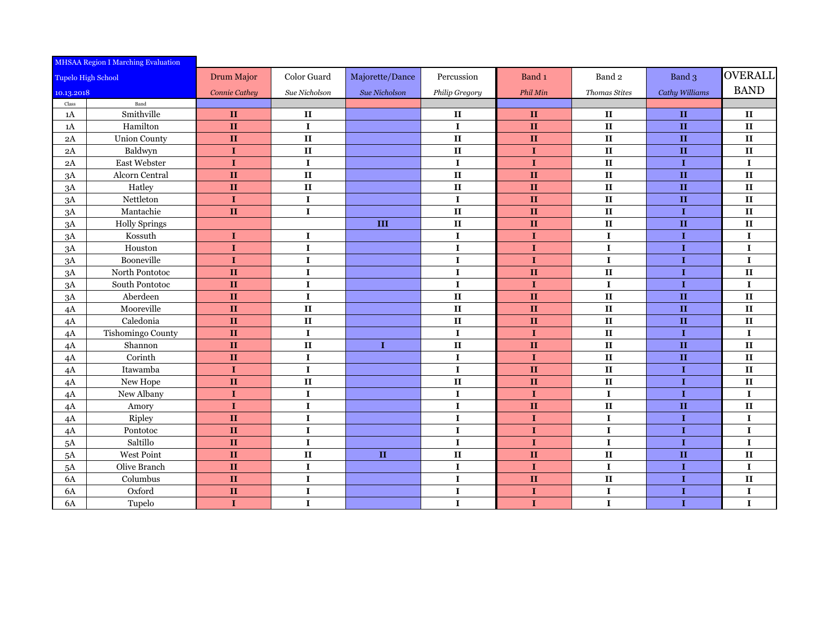| <b>MHSAA Region I Marching Evaluation</b> |                      |                      |               |                 |                |                   |                        |                |                        |
|-------------------------------------------|----------------------|----------------------|---------------|-----------------|----------------|-------------------|------------------------|----------------|------------------------|
| <b>Tupelo High School</b>                 |                      | Drum Major           | Color Guard   | Majorette/Dance | Percussion     | Band <sub>1</sub> | Band <sub>2</sub>      | Band 3         | <b>OVERALL</b>         |
| 10.13.2018                                |                      | <b>Connie Cathey</b> | Sue Nicholson | Sue Nicholson   | Philip Gregory | Phil Min          | <b>Thomas Stites</b>   | Cathy Williams | <b>BAND</b>            |
| $\rm Class$                               | Band                 |                      |               |                 |                |                   |                        |                |                        |
| 1A                                        | Smithville           | $\mathbf{I}$         | $\mathbf{I}$  |                 | $\mathbf{I}$   | $\mathbf{H}$      | $\mathbf{I}$           | $\mathbf{H}$   | $\mathbf{I}$           |
| 1A                                        | Hamilton             | $\mathbf{I}$         | $\mathbf I$   |                 | $\mathbf I$    | $\mathbf{II}$     | $\,$ II                | $\mathbf{H}$   | $\mathbf{I}$           |
| 2A                                        | <b>Union County</b>  | $\mathbf{I}$         | $\mathbf{I}$  |                 | $\mathbf{I}$   | $\mathbf{II}$     | $\mathbf{II}$          | $\mathbf{H}$   | $\mathbf{I}$           |
| 2A                                        | Baldwyn              | $\mathbf I$          | $\mathbf{I}$  |                 | $\mathbf{I}$   | $\mathbf I$       | $\mathbf{I}$           | $\mathbf{H}$   | $\mathbf{I}$           |
| $2\mathrm{A}$                             | East Webster         | $\mathbf I$          | $\mathbf I$   |                 | $\mathbf I$    | $\mathbf I$       | $\,$ II                | $\mathbf I$    | $\mathbf I$            |
| 3A                                        | Alcorn Central       | $\mathbf{I}$         | $\mathbf{I}$  |                 | $\mathbf{I}$   | $\mathbf{II}$     | $\mathbf{I}$           | $\mathbf{H}$   | $\mathbf{I}$           |
| 3A                                        | Hatley               | $\mathbf{I}$         | $\mathbf{I}$  |                 | $\mathbf{I}$   | $\mathbf{II}$     | $\mathbf{I}$           | $\mathbf{H}$   | $\mathbf{I}$           |
| 3A                                        | Nettleton            | $\mathbf I$          | $\mathbf I$   |                 | $\mathbf I$    | $\mathbf{II}$     | $\mathbf{II}$          | $\mathbf{H}$   | $\mathbf{I}$           |
| 3A                                        | Mantachie            | $\mathbf{II}$        | $\mathbf I$   |                 | $\mathbf{I}$   | $\mathbf{II}$     | $\mathbf{I}$           | $\mathbf I$    | $\mathbf{I}$           |
| 3A                                        | <b>Holly Springs</b> |                      |               | III             | $\mathbf{I}$   | $\mathbf{H}$      | $\mathbf{I}\mathbf{I}$ | $\mathbf{H}$   | $\mathbf{I}$           |
| 3A                                        | Kossuth              | $\bf{I}$             | $\mathbf I$   |                 | $\mathbf I$    | $\bf{I}$          | $\mathbf I$            | $\mathbf I$    | $\mathbf I$            |
| 3A                                        | Houston              | $\bf{I}$             | $\mathbf I$   |                 | $\mathbf I$    | $\bf{I}$          | $\mathbf I$            | $\mathbf I$    | $\mathbf I$            |
| 3A                                        | Booneville           | $\bf{I}$             | $\mathbf I$   |                 | $\mathbf I$    | $\bf{I}$          | $\mathbf I$            | $\mathbf I$    | $\mathbf I$            |
| 3A                                        | North Pontotoc       | $\mathbf{I}$         | $\mathbf I$   |                 | $\mathbf I$    | $\mathbf{II}$     | $\mathbf{I}$           | $\mathbf I$    | $\mathbf{I}$           |
| 3A                                        | South Pontotoc       | $\mathbf{I}$         | $\mathbf I$   |                 | $\mathbf I$    | $\bf{I}$          | $\mathbf I$            | $\mathbf I$    | $\mathbf{I}$           |
| 3A                                        | Aberdeen             | $\mathbf{H}$         | $\mathbf I$   |                 | $\mathbf{I}$   | $\mathbf{H}$      | $\mathbf{I}$           | $\mathbf{H}$   | $\mathbf{I}$           |
| 4A                                        | Mooreville           | $\mathbf{I}$         | $\mathbf{I}$  |                 | $\mathbf{I}$   | $\mathbf{II}$     | $\mathbf{I}\mathbf{I}$ | $\mathbf{H}$   | $\mathbf{I}$           |
| 4A                                        | Caledonia            | $\mathbf{I}$         | $\mathbf{I}$  |                 | $\mathbf{I}$   | $\mathbf{II}$     | $\mathbf{I}\mathbf{I}$ | $\mathbf{II}$  | $\mathbf{I}$           |
| 4A                                        | Tishomingo County    | $\mathbf{I}$         | $\mathbf I$   |                 | $\mathbf I$    | $\mathbf{I}$      | $\mathbf{I}$           | $\mathbf I$    | $\mathbf{I}$           |
| 4A                                        | Shannon              | $\mathbf{I}$         | $\mathbf{I}$  | $\mathbf I$     | $\mathbf{I}$   | $\mathbf{II}$     | $\mathbf{I}$           | $\mathbf{H}$   | $\mathbf{I}$           |
| 4A                                        | Corinth              | $\mathbf{I}$         | $\mathbf I$   |                 | $\mathbf I$    | $\mathbf{I}$      | $\mathbf{I}\mathbf{I}$ | $\mathbf{H}$   | $\mathbf{I}$           |
| 4A                                        | Itawamba             | $\mathbf I$          | $\mathbf I$   |                 | $\mathbf I$    | $\mathbf{II}$     | $\mathbf{II}$          | $\mathbf I$    | $\mathbf{I}$           |
| 4A                                        | New Hope             | $\mathbf{I}$         | $\mathbf{I}$  |                 | $\mathbf{I}$   | $\mathbf{II}$     | $\mathbf{II}$          | $\mathbf I$    | $\mathbf{I}$           |
| 4A                                        | New Albany           | $\mathbf I$          | $\mathbf I$   |                 | $\mathbf I$    | $\mathbf{I}$      | $\mathbf I$            | $\mathbf I$    | $\mathbf I$            |
| 4A                                        | Amory                | $\mathbf I$          | $\mathbf I$   |                 | $\mathbf I$    | $\mathbf{II}$     | $\mathbf{II}$          | $\mathbf{H}$   | $\mathbf{I}\mathbf{I}$ |
| 4A                                        | Ripley               | $\mathbf{I}$         | $\mathbf I$   |                 | $\mathbf I$    | $\mathbf I$       | $\mathbf I$            | $\mathbf I$    | $\mathbf I$            |
| 4A                                        | Pontotoc             | $\mathbf{I}$         | $\mathbf I$   |                 | $\mathbf I$    | $\bf{I}$          | $\mathbf I$            | $\mathbf I$    | $\mathbf{I}$           |
| $5\mathrm{A}$                             | Saltillo             | $\mathbf{I}$         | $\mathbf I$   |                 | $\mathbf I$    | $\mathbf I$       | $\mathbf I$            | $\mathbf I$    | $\mathbf I$            |
| $5\mathrm{A}$                             | West Point           | $\mathbf{I}$         | $\mathbf{I}$  | $\mathbf{II}$   | $\mathbf{I}$   | $\mathbf{II}$     | $\mathbf{I}$           | $\mathbf{H}$   | $\mathbf{I}$           |
| 5A                                        | Olive Branch         | $\mathbf{I}$         | $\mathbf I$   |                 | $\mathbf I$    | $\bf{I}$          | $\mathbf I$            | $\mathbf I$    | $\mathbf I$            |
| 6A                                        | Columbus             | $\mathbf{I}$         | $\mathbf I$   |                 | $\mathbf I$    | $\mathbf{II}$     | $\mathbf{II}$          | $\mathbf I$    | $\mathbf{I}$           |
| <b>6A</b>                                 | Oxford               | $\mathbf{I}$         | $\mathbf I$   |                 | $\mathbf I$    | $\bf{I}$          | $\mathbf I$            | $\mathbf I$    | $\mathbf I$            |
| 6A                                        | Tupelo               | $\bf{I}$             | $\mathbf I$   |                 | $\mathbf I$    | $\bf{I}$          | $\mathbf I$            | $\mathbf I$    | $\mathbf I$            |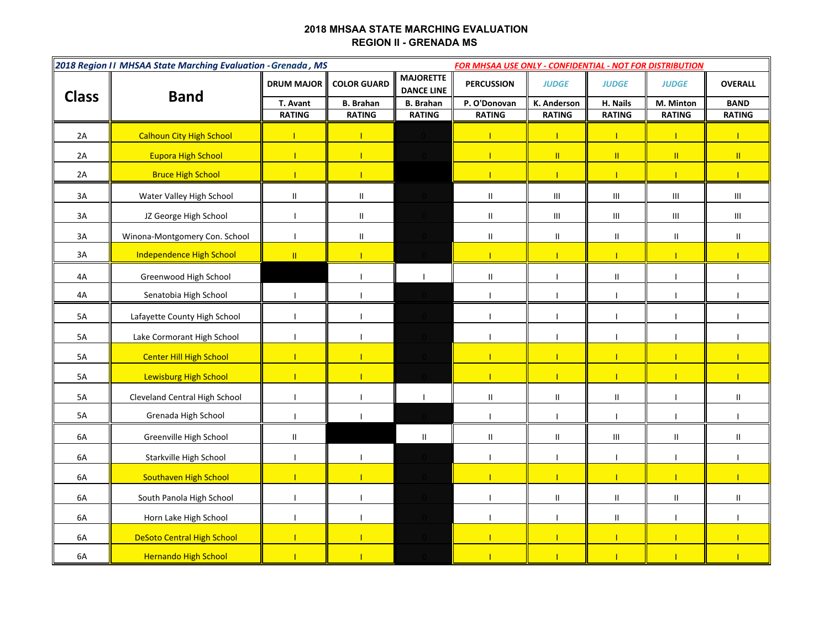## **2018 MHSAA STATE MARCHING EVALUATION REGION II - GRENADA MS**

| 2018 Region II MHSAA State Marching Evaluation - Grenada, MS<br><b>FOR MHSAA USE ONLY - CONFIDENTIAL - NOT FOR DISTRIBUTION</b> |                                   |                            |                                   |                                       |                                   |                                    |                                       |                                    |                                    |
|---------------------------------------------------------------------------------------------------------------------------------|-----------------------------------|----------------------------|-----------------------------------|---------------------------------------|-----------------------------------|------------------------------------|---------------------------------------|------------------------------------|------------------------------------|
| <b>Class</b>                                                                                                                    | <b>Band</b>                       | <b>DRUM MAJOR</b>          | <b>COLOR GUARD</b>                | <b>MAJORETTE</b><br><b>DANCE LINE</b> | <b>PERCUSSION</b>                 | <b>JUDGE</b>                       | <b>JUDGE</b>                          | <b>JUDGE</b>                       | <b>OVERALL</b>                     |
|                                                                                                                                 |                                   | T. Avant<br><b>RATING</b>  | <b>B.</b> Brahan<br><b>RATING</b> | <b>B.</b> Brahan<br><b>RATING</b>     | P. O'Donovan<br><b>RATING</b>     | K. Anderson<br><b>RATING</b>       | H. Nails<br><b>RATING</b>             | M. Minton<br><b>RATING</b>         | <b>BAND</b><br><b>RATING</b>       |
|                                                                                                                                 |                                   |                            |                                   |                                       |                                   |                                    |                                       |                                    |                                    |
| 2A                                                                                                                              | <b>Calhoun City High School</b>   |                            | T                                 |                                       | $\mathbf{I}$                      | 1                                  | $\mathbf{I}$                          | $\mathbf{I}$                       | T                                  |
| 2A                                                                                                                              | <b>Eupora High School</b>         | T                          | $\mathbf{I}$                      |                                       | $\blacksquare$                    | $\mathbf{II}$                      | $\mathbf{H}$                          | $\mathbf{H}$                       | $\mathbf{H}$                       |
| 2A                                                                                                                              | <b>Bruce High School</b>          | T.                         | $\mathbf{L}$                      |                                       | $\mathbf{I}$                      | $\mathbf{I}$                       | $\mathbf{I}$                          | $\mathbf{I}$                       | T                                  |
| 3A                                                                                                                              | Water Valley High School          | $\ensuremath{\mathsf{II}}$ | $\mathsf{II}$                     |                                       | $\ensuremath{\mathsf{II}}$        | $\ensuremath{\mathsf{III}}\xspace$ | $\ensuremath{\mathsf{III}}\xspace$    | $\ensuremath{\mathsf{III}}\xspace$ | $\ensuremath{\mathsf{III}}\xspace$ |
| 3A                                                                                                                              | JZ George High School             | $\mathbf{I}$               | $\mathsf{II}$                     |                                       | Ш                                 | $\ensuremath{\mathsf{III}}\xspace$ | $\ensuremath{\mathsf{III}}\xspace$    | $\ensuremath{\mathsf{III}}\xspace$ | $\ensuremath{\mathsf{III}}\xspace$ |
| 3A                                                                                                                              | Winona-Montgomery Con. School     | $\mathbf{I}$               | П.                                |                                       | $\ensuremath{\mathsf{II}}\xspace$ | $\mathbf{II}$                      | $\begin{array}{c} \hline \end{array}$ | Ш.                                 | $\mathbf{II}$                      |
| 3A                                                                                                                              | <b>Independence High School</b>   | $\rm H$                    | $\mathbf{L}$                      |                                       | $\mathbf{I}$                      |                                    | $\mathbf{I}$                          |                                    | т                                  |
| 4A                                                                                                                              | Greenwood High School             |                            |                                   |                                       | $\mathbf{II}$                     |                                    | $\begin{array}{c} \hline \end{array}$ |                                    |                                    |
| 4A                                                                                                                              | Senatobia High School             | $\mathbf{I}$               | $\mathbf{I}$                      |                                       |                                   |                                    |                                       |                                    |                                    |
| 5A                                                                                                                              | Lafayette County High School      | $\mathbf{I}$               | $\mathbf{I}$                      |                                       | T                                 |                                    |                                       |                                    |                                    |
| 5A                                                                                                                              | Lake Cormorant High School        | $\mathbf{I}$               | $\mathbf{I}$                      |                                       | T                                 |                                    |                                       | ı                                  |                                    |
| 5A                                                                                                                              | <b>Center Hill High School</b>    | T                          |                                   |                                       | $\mathbf{I}$                      |                                    |                                       |                                    |                                    |
| 5A                                                                                                                              | Lewisburg High School             |                            |                                   |                                       |                                   |                                    |                                       |                                    |                                    |
| 5A                                                                                                                              | Cleveland Central High School     | $\mathbf{I}$               | H                                 |                                       | $\mathbf{H}$                      | $\mathbf{II}$                      | $\mathbf{II}$                         | ı                                  | $\mathbf{II}$                      |
| 5A                                                                                                                              | Grenada High School               | $\mathbf{I}$               |                                   |                                       |                                   |                                    |                                       |                                    |                                    |
| 6A                                                                                                                              | Greenville High School            | $\sf II$                   |                                   | $\begin{array}{c} \hline \end{array}$ | Ш                                 | $\mathbf{II}$                      | $\mathbf{III}$                        | Ш.                                 | $\mathbf{H}$                       |
| 6A                                                                                                                              | Starkville High School            | T                          |                                   |                                       |                                   |                                    |                                       |                                    |                                    |
| 6A                                                                                                                              | Southaven High School             |                            |                                   |                                       |                                   |                                    |                                       |                                    |                                    |
| 6A                                                                                                                              | South Panola High School          |                            |                                   |                                       |                                   | $\ensuremath{\mathsf{II}}$         | $\mathbf{I}$                          | $\mathbf{I}$                       | Ш                                  |
| 6A                                                                                                                              | Horn Lake High School             |                            |                                   |                                       |                                   |                                    | $\mathbf{I}$                          |                                    |                                    |
| 6A                                                                                                                              | <b>DeSoto Central High School</b> | T                          |                                   |                                       | $\mathbf{I}$                      |                                    | $\mathbf{I}$                          |                                    |                                    |
| 6A                                                                                                                              | <b>Hernando High School</b>       |                            |                                   |                                       |                                   |                                    |                                       |                                    |                                    |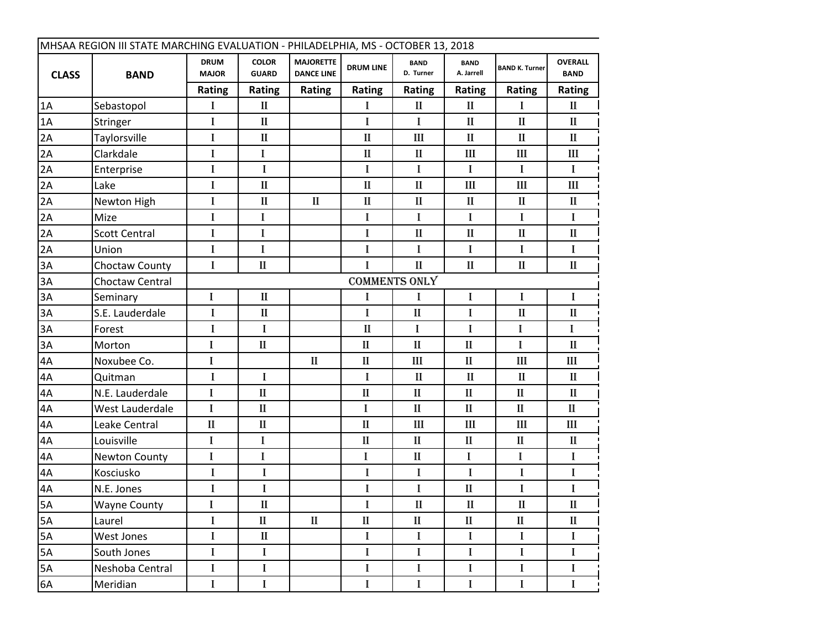| MHSAA REGION III STATE MARCHING EVALUATION - PHILADELPHIA, MS - OCTOBER 13, 2018 |                      |                             |                              |                                       |                  |                          |                           |                       |                               |  |  |
|----------------------------------------------------------------------------------|----------------------|-----------------------------|------------------------------|---------------------------------------|------------------|--------------------------|---------------------------|-----------------------|-------------------------------|--|--|
| <b>CLASS</b>                                                                     | <b>BAND</b>          | <b>DRUM</b><br><b>MAJOR</b> | <b>COLOR</b><br><b>GUARD</b> | <b>MAJORETTE</b><br><b>DANCE LINE</b> | <b>DRUM LINE</b> | <b>BAND</b><br>D. Turner | <b>BAND</b><br>A. Jarrell | <b>BAND K. Turner</b> | <b>OVERALL</b><br><b>BAND</b> |  |  |
|                                                                                  |                      | <b>Rating</b>               | <b>Rating</b>                | <b>Rating</b>                         | Rating           | Rating                   | Rating                    | Rating                | <b>Rating</b>                 |  |  |
| 1A                                                                               | Sebastopol           | I                           | $\mathbf{I}$                 |                                       | I                | $\mathbf{I}$             | $\mathbf{I}$              | I                     | $\mathbf{I}$                  |  |  |
| 1A                                                                               | Stringer             | I                           | $\mathbf{I}$                 |                                       | $\bf{I}$         | $\bf{I}$                 | $\mathbf{I}$              | $\mathbf{I}$          | $\mathbf{I}$                  |  |  |
| 2A                                                                               | Taylorsville         | I                           | $\mathbf{I}$                 |                                       | $\mathbf{I}$     | III                      | $\mathbf{I}$              | $\mathbf{I}$          | $\mathbf{I}$                  |  |  |
| 2A                                                                               | Clarkdale            | I                           | I                            |                                       | $\mathbf{I}$     | $\mathbf{I}$             | Ш                         | Ш                     | Ш                             |  |  |
| 2A                                                                               | Enterprise           | I                           | I                            |                                       | I                | $\bf{I}$                 | $\bf{I}$                  | I                     | I                             |  |  |
| 2A                                                                               | Lake                 | I                           | $\mathbf{I}$                 |                                       | $\mathbf{I}$     | $\mathbf{I}$             | III                       | Ш                     | III                           |  |  |
| 2A                                                                               | Newton High          | I                           | $\mathbf{I}$                 | $\mathbf{I}$                          | $\mathbf{I}$     | $\mathbf{I}$             | $\mathbf{I}$              | $\mathbf{I}$          | $\mathbf{I}$                  |  |  |
| 2A                                                                               | Mize                 | I                           | I                            |                                       | I                | I                        | I                         | I                     | I                             |  |  |
| 2A                                                                               | <b>Scott Central</b> | $\bf{I}$                    | I                            |                                       | $\bf{I}$         | $\mathbf{I}$             | $\mathbf{I}$              | $\mathbf{I}$          | $\mathbf{I}$                  |  |  |
| 2A                                                                               | Union                | I                           | I                            |                                       | I                | I                        | I                         | I                     | L                             |  |  |
| 3A                                                                               | Choctaw County       | I                           | $\mathbf{I}$                 |                                       | I                | $\mathbf{I}$             | $\mathbf{I}$              | $\mathbf{I}$          | $\mathbf{I}$                  |  |  |
| 3A                                                                               | Choctaw Central      |                             | <b>COMMENTS ONLY</b>         |                                       |                  |                          |                           |                       |                               |  |  |
| 3A                                                                               | Seminary             | I                           | $\mathbf{I}$                 |                                       | I                | I                        | I                         | I                     | I                             |  |  |
| 3A                                                                               | S.E. Lauderdale      | I                           | $\mathbf{I}$                 |                                       | I                | $\mathbf{I}$             | I                         | $\mathbf{I}$          | П                             |  |  |
| 3A                                                                               | Forest               | $\bf{I}$                    | I                            |                                       | $\mathbf{I}$     | $\bf{I}$                 | $\bf{l}$                  | $\bf{I}$              | I                             |  |  |
| 3A                                                                               | Morton               | I                           | $\mathbf{I}$                 |                                       | $\mathbf{I}$     | $\mathbf{I}$             | $\mathbf{I}$              | I                     | $\mathbf{I}$                  |  |  |
| 4A                                                                               | Noxubee Co.          | I                           |                              | $\mathbf{I}$                          | $\rm II$         | III                      | $\mathbf{I}$              | Ш                     | III                           |  |  |
| 4A                                                                               | Quitman              | I                           | I                            |                                       | $\bf{I}$         | $\mathbf{I}$             | $\mathbf{I}$              | $\mathbf{I}$          | $\mathbf{I}$                  |  |  |
| 4A                                                                               | N.E. Lauderdale      | I                           | $\mathbf{I}$                 |                                       | $\mathbf{I}$     | $\mathbf{I}$             | $\mathbf{I}$              | $\mathbf{I}$          | $\mathbf{I}$                  |  |  |
| 4A                                                                               | West Lauderdale      | I                           | $\mathbf{I}$                 |                                       | $\bf{I}$         | $\mathbf{I}$             | $\mathbf{I}$              | $\mathbf{I}$          | $\mathbf{I}$                  |  |  |
| 4A                                                                               | Leake Central        | $\mathbf{I}$                | $\mathbf{I}$                 |                                       | $\mathbf{I}$     | III                      | Ш                         | III                   | III                           |  |  |
| 4A                                                                               | Louisville           | I                           | I                            |                                       | $\mathbf{I}$     | $\mathbf{I}$             | $\mathbf{I}$              | $\mathbf{I}$          | $\mathbf{I}$                  |  |  |
| 4A                                                                               | Newton County        | I                           | I                            |                                       | I                | $\mathbf{I}$             | I                         | I                     | I                             |  |  |
| 4A                                                                               | Kosciusko            | $\bf{I}$                    | I                            |                                       | I                | I                        | $\bf{I}$                  | I                     | I                             |  |  |
| 4A                                                                               | N.E. Jones           | I                           | I                            |                                       | I                | $\bf{I}$                 | $\mathbf{I}$              | I                     | I                             |  |  |
| 5A                                                                               | <b>Wayne County</b>  | I                           | $\mathbf{I}$                 |                                       | I                | $\mathbf{I}$             | $\mathbf{I}$              | $\mathbf{I}$          | $\mathbf{I}$                  |  |  |
| 5A                                                                               | Laurel               | I                           | $\mathbf{I}$                 | $\mathbf{I}$                          | $\mathbf{I}$     | $\mathbf{I}$             | $\mathbf{I}$              | $\mathbf{I}$          | $\mathbf{I}$                  |  |  |
| 5A                                                                               | West Jones           | I                           | $\mathbf{I}$                 |                                       | $\bf{I}$         | $\bf{I}$                 | I                         | I                     | I                             |  |  |
| 5A                                                                               | South Jones          | I                           | I                            |                                       | $\bf I$          | $\bf{I}$                 | I                         | I                     | I                             |  |  |
| 5A                                                                               | Neshoba Central      | I                           | I                            |                                       | $\bf I$          | $\bf I$                  | I                         | $\bf I$               | I                             |  |  |
| 6A                                                                               | Meridian             | I                           | I                            |                                       | I                | $\bf{I}$                 | I                         | I                     | I                             |  |  |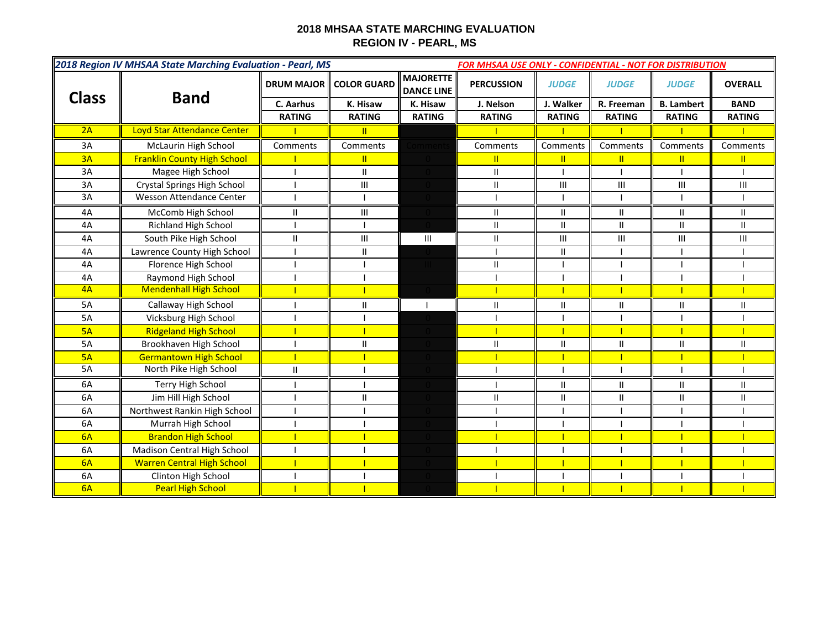## **2018 MHSAA STATE MARCHING EVALUATION REGION IV - PEARL, MS**

| 2018 Region IV MHSAA State Marching Evaluation - Pearl, MS<br><b>FOR MHSAA USE ONLY - CONFIDENTIAL - NOT FOR DISTRIBUTION</b> |                                    |                   |                    |                                       |                   |                |                |                   |                |
|-------------------------------------------------------------------------------------------------------------------------------|------------------------------------|-------------------|--------------------|---------------------------------------|-------------------|----------------|----------------|-------------------|----------------|
| <b>Class</b>                                                                                                                  |                                    | <b>DRUM MAJOR</b> | <b>COLOR GUARD</b> | <b>MAJORETTE</b><br><b>DANCE LINE</b> | <b>PERCUSSION</b> | <b>JUDGE</b>   | <b>JUDGE</b>   | <b>JUDGE</b>      | <b>OVERALL</b> |
|                                                                                                                               | <b>Band</b>                        | C. Aarhus         | K. Hisaw           | K. Hisaw                              | J. Nelson         | J. Walker      | R. Freeman     | <b>B.</b> Lambert | <b>BAND</b>    |
|                                                                                                                               |                                    | <b>RATING</b>     | <b>RATING</b>      | <b>RATING</b>                         | <b>RATING</b>     | <b>RATING</b>  | <b>RATING</b>  | <b>RATING</b>     | <b>RATING</b>  |
| 2A                                                                                                                            | Loyd Star Attendance Center        |                   | $\mathbf{u}$       |                                       |                   |                |                |                   |                |
| 3A                                                                                                                            | McLaurin High School               | Comments          | Comments           | mment                                 | Comments          | Comments       | Comments       | Comments          | Comments       |
| 3A                                                                                                                            | <b>Franklin County High School</b> |                   | Ш                  |                                       | Π.                | Ш              | T.             | Ш                 | Ш              |
| 3A                                                                                                                            | Magee High School                  |                   | $\mathbf{H}$       |                                       | $\mathbf{H}$      |                |                |                   |                |
| 3A                                                                                                                            | Crystal Springs High School        |                   | Ш                  |                                       | Ш                 | Ш              | Ш              | Ш                 | $\mathbf{III}$ |
| 3A                                                                                                                            | Wesson Attendance Center           |                   |                    |                                       |                   |                |                |                   |                |
| 4A                                                                                                                            | McComb High School                 | $\mathbf{II}$     | III                |                                       | $\mathbf{H}$      | $\mathbf{H}$   | $\mathbf{H}$   | Ш                 | $\mathbf{I}$   |
| 4A                                                                                                                            | Richland High School               |                   |                    |                                       | $\mathbf{I}$      | $\mathbf{II}$  | $\mathbf{II}$  | $\mathbf{II}$     | $\mathbf{H}$   |
| 4A                                                                                                                            | South Pike High School             | $\mathbf{I}$      | III                | $\mathbf{III}$                        | $\mathbf{II}$     | $\mathbf{III}$ | $\mathbf{III}$ | Ш                 | $\mathbf{III}$ |
| 4A                                                                                                                            | Lawrence County High School        |                   | Ш                  |                                       |                   | $\mathsf{II}$  |                |                   |                |
| 4A                                                                                                                            | Florence High School               |                   |                    |                                       | $\mathbf{II}$     |                |                |                   |                |
| 4A                                                                                                                            | Raymond High School                |                   |                    |                                       |                   |                |                |                   |                |
| 4A                                                                                                                            | <b>Mendenhall High School</b>      |                   |                    |                                       |                   |                |                |                   |                |
| 5A                                                                                                                            | Callaway High School               |                   | Ш                  |                                       | $\mathbf{II}$     | Ш              |                | Ш                 | Ш              |
| 5A                                                                                                                            | Vicksburg High School              |                   |                    |                                       |                   |                |                |                   |                |
| 5A                                                                                                                            | <b>Ridgeland High School</b>       |                   |                    |                                       |                   |                |                |                   |                |
| 5A                                                                                                                            | Brookhaven High School             |                   | $\mathbf{II}$      |                                       | Ш                 | $\mathbf{I}$   | П              | $\mathbf{I}$      | $\mathsf{II}$  |
| 5A                                                                                                                            | <b>Germantown High School</b>      |                   |                    |                                       |                   |                |                |                   |                |
| 5A                                                                                                                            | North Pike High School             | $\mathbf{II}$     |                    |                                       |                   |                |                |                   |                |
| 6A                                                                                                                            | <b>Terry High School</b>           |                   |                    |                                       |                   | $\mathbf{II}$  | $\mathbf{II}$  | $\mathbf{II}$     | $\mathbf{I}$   |
| 6A                                                                                                                            | Jim Hill High School               |                   | $\mathbf{I}$       |                                       | $\mathbf{I}$      | $\mathbf{I}$   | $\mathbf{II}$  | $\mathbf{II}$     | $\mathbf{I}$   |
| 6A                                                                                                                            | Northwest Rankin High School       |                   |                    |                                       |                   |                |                |                   |                |
| 6A                                                                                                                            | Murrah High School                 |                   |                    |                                       |                   |                |                |                   |                |
| 6A                                                                                                                            | <b>Brandon High School</b>         |                   |                    |                                       |                   |                |                |                   |                |
| 6A                                                                                                                            | Madison Central High School        |                   |                    |                                       |                   |                |                |                   |                |
| 6A                                                                                                                            | <b>Warren Central High School</b>  |                   |                    |                                       |                   |                |                |                   |                |
| 6A                                                                                                                            | Clinton High School                |                   |                    |                                       |                   |                |                |                   |                |
| 6A                                                                                                                            | <b>Pearl High School</b>           |                   |                    |                                       |                   |                |                |                   |                |